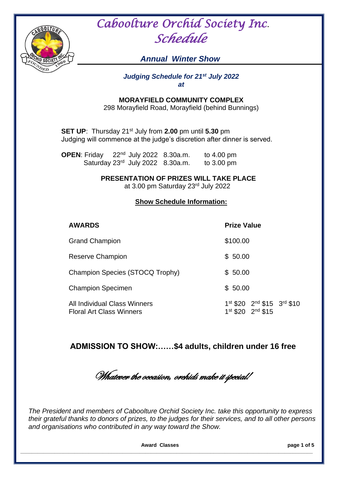

 *Caboolture Orchid Society Inc*.  *Schedule* 

# *Annual Winter Show*

#### *Judging Schedule for 21st July 2022 at*

**MORAYFIELD COMMUNITY COMPLEX**

298 Morayfield Road, Morayfield (behind Bunnings)

**SET UP**: Thursday 21st July from **2.00** pm until **5.30** pm Judging will commence at the judge's discretion after dinner is served.

**OPEN**: Friday 22<sup>nd</sup> July 2022 8.30a.m. to 4.00 pm Saturday 23<sup>rd</sup> July 2022 8.30a.m. to 3.00 pm

**PRESENTATION OF PRIZES WILL TAKE PLACE**

at 3.00 pm Saturday 23rd July 2022

#### **Show Schedule Information:**

**AWARDS Prize Value**

| <b>Grand Champion</b>                                                  | \$100.00                                                  |
|------------------------------------------------------------------------|-----------------------------------------------------------|
| Reserve Champion                                                       | \$50.00                                                   |
| Champion Species (STOCQ Trophy)                                        | \$50.00                                                   |
| <b>Champion Specimen</b>                                               | \$50.00                                                   |
| <b>All Individual Class Winners</b><br><b>Floral Art Class Winners</b> | 1st \$20 2nd \$15 3rd \$10<br>$1^{st}$ \$20 $2^{nd}$ \$15 |

 **ADMISSION TO SHOW:……\$4 adults, children under 16 free**

Whatever the occasion, orchids make it special!

*The President and members of Caboolture Orchid Society Inc. take this opportunity to express their grateful thanks to donors of prizes, to the judges for their services, and to all other persons and organisations who contributed in any way toward the Show.*

 **Award Classes page 1 of 5**

**\_\_\_\_\_\_\_\_\_\_\_\_\_\_\_\_\_\_\_\_\_\_\_\_\_\_\_\_\_\_\_\_\_\_\_\_\_\_\_\_\_\_\_\_\_\_\_\_\_\_\_\_\_\_\_\_\_\_\_\_\_\_\_\_\_\_\_\_\_\_\_\_\_\_\_\_\_\_\_\_\_\_\_\_\_\_\_\_\_\_\_\_\_\_\_\_\_\_\_\_\_\_\_**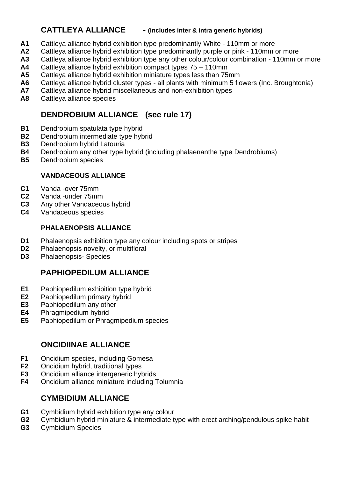# **CATTLEYA ALLIANCE - (includes inter & intra generic hybrids)**

- **A1** Cattleya alliance hybrid exhibition type predominantly White 110mm or more
- **A2** Cattleya alliance hybrid exhibition type predominantly purple or pink 110mm or more
- **A3** Cattleya alliance hybrid exhibition type any other colour/colour combination 110mm or more
- **A4** Cattleya alliance hybrid exhibition compact types 75 110mm
- **A5** Cattleya alliance hybrid exhibition miniature types less than 75mm
- **A6** Cattleya alliance hybrid cluster types all plants with minimum 5 flowers (Inc. Broughtonia)
- **A7** Cattleya alliance hybrid miscellaneous and non-exhibition types
- **A8** Cattleya alliance species

# **DENDROBIUM ALLIANCE (see rule 17)**

- **B1** Dendrobium spatulata type hybrid
- **B2** Dendrobium intermediate type hybrid
- **B3** Dendrobium hybrid Latouria
- **B4** Dendrobium any other type hybrid (including phalaenanthe type Dendrobiums)
- **B5** Dendrobium species

### **VANDACEOUS ALLIANCE**

- **C1** Vanda -over 75mm
- **C2** Vanda -under 75mm
- **C3** Any other Vandaceous hybrid
- **C4** Vandaceous species

### **PHALAENOPSIS ALLIANCE**

- **D1** Phalaenopsis exhibition type any colour including spots or stripes
- **D2** Phalaenopsis novelty, or multifloral
- **D3** Phalaenopsis- Species

# **PAPHIOPEDILUM ALLIANCE**

- **E1** Paphiopedilum exhibition type hybrid
- **E2** Paphiopedilum primary hybrid
- **E3** Paphiopedilum any other
- **E4** Phragmipedium hybrid
- **E5** Paphiopedilum or Phragmipedium species

# **ONCIDIINAE ALLIANCE**

- **F1** Oncidium species, including Gomesa
- **F2** Oncidium hybrid, traditional types
- **F3** Oncidium alliance intergeneric hybrids
- **F4** Oncidium alliance miniature including Tolumnia

# **CYMBIDIUM ALLIANCE**

- **G1** Cymbidium hybrid exhibition type any colour
- **G2** Cymbidium hybrid miniature & intermediate type with erect arching/pendulous spike habit
- **G3** Cymbidium Species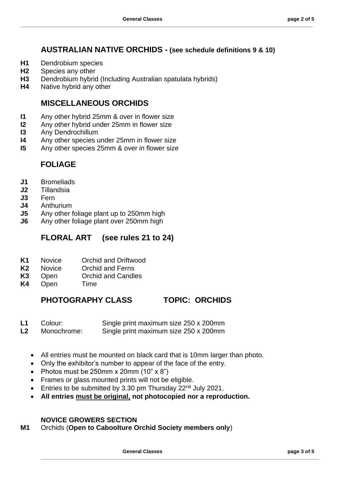## **AUSTRALIAN NATIVE ORCHIDS - (see schedule definitions 9 & 10)**

**\_\_\_\_\_\_\_\_\_\_\_\_\_\_\_\_\_\_\_\_\_\_\_\_\_\_\_\_\_\_\_\_\_\_\_\_\_\_\_\_\_\_\_\_\_\_\_\_\_\_\_\_\_\_\_\_\_\_\_\_\_\_\_\_\_\_\_\_\_\_\_\_\_\_\_\_\_\_\_\_\_\_\_\_\_\_\_\_\_\_\_\_\_\_\_\_\_\_\_\_\_\_\_**

- **H1** Dendrobium species
- **H2** Species any other
- **H3** Dendrobium hybrid (Including Australian spatulata hybrids)
- **H4** Native hybrid any other

## **MISCELLANEOUS ORCHIDS**

- **I1** Any other hybrid 25mm & over in flower size
- **I2** Any other hybrid under 25mm in flower size
- **I3** Any Dendrochillum
- **I4** Any other species under 25mm in flower size
- **I5** Any other species 25mm & over in flower size

## **FOLIAGE**

- **J1** Bromeliads
- **J2** Tillandsia
- **J3** Fern
- **J4** Anthurium
- **J5** Any other foliage plant up to 250mm high
- **J6** Any other foliage plant over 250mm high

## **FLORAL ART (see rules 21 to 24)**

- **K1** Novice Orchid and Driftwood
- **K2** Novice Orchid and Ferns
- **K3** Open Orchid and Candles
- **K4** Open Time

## **PHOTOGRAPHY CLASS TOPIC: ORCHIDS**

- **L1** Colour: Single print maximum size 250 x 200mm
- **L2** Monochrome: Single print maximum size 250 x 200mm
	- All entries must be mounted on black card that is 10mm larger than photo.
	- Only the exhibitor's number to appear of the face of the entry.
	- Photos must be 250mm  $\times$  20mm  $(10" \times 8")$
	- Frames or glass mounted prints will not be eligible.
	- Entries to be submitted by 3.30 pm Thursday 22<sup>nd</sup> July 2021.
	- **All entries must be original, not photocopied nor a reproduction.**

#### **NOVICE GROWERS SECTION**

**M1** Orchids (**Open to Caboolture Orchid Society members only**)

**General Classes page 3 of 5**

**\_\_\_\_\_\_\_\_\_\_\_\_\_\_\_\_\_\_\_\_\_\_\_\_\_\_\_\_\_\_\_\_\_\_\_\_\_\_\_\_\_\_\_\_\_\_\_\_\_\_\_\_\_\_\_\_\_\_\_\_\_\_\_\_\_\_\_\_\_\_\_\_\_\_\_\_\_\_\_\_\_\_\_\_\_\_\_\_\_\_\_\_\_\_\_\_\_\_**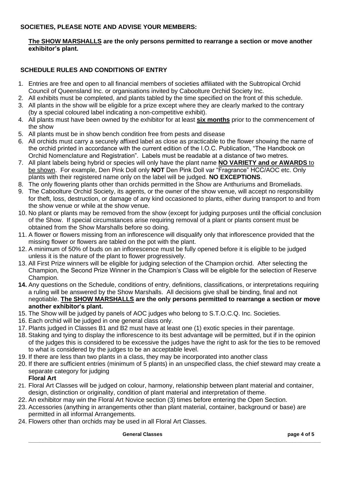#### **SOCIETIES, PLEASE NOTE AND ADVISE YOUR MEMBERS:**

#### **The SHOW MARSHALLS are the only persons permitted to rearrange a section or move another exhibitor's plant.**

#### **SCHEDULE RULES AND CONDITIONS OF ENTRY**

- 1. Entries are free and open to all financial members of societies affiliated with the Subtropical Orchid Council of Queensland Inc. or organisations invited by Caboolture Orchid Society Inc.
- 2. All exhibits must be completed, and plants tabled by the time specified on the front of this schedule.
- 3. All plants in the show will be eligible for a prize except where they are clearly marked to the contrary (by a special coloured label indicating a non-competitive exhibit).
- 4. All plants must have been owned by the exhibitor for at least **six months** prior to the commencement of the show
- 5. All plants must be in show bench condition free from pests and disease
- 6. All orchids must carry a securely affixed label as close as practicable to the flower showing the name of the orchid printed in accordance with the current edition of the I.O.C. Publication, "The Handbook on Orchid Nomenclature and Registration". Labels must be readable at a distance of two metres.
- 7. All plant labels being hybrid or species will only have the plant name **NO VARIETY and or AWARDS** to be shown. For example, Den Pink Doll only **NOT** Den Pink Doll var "Fragrance" HCC/AOC etc. Only plants with their registered name only on the label will be judged. **NO EXCEPTIONS**.
- 8. The only flowering plants other than orchids permitted in the Show are Anthuriums and Bromeliads.
- 9. The Caboolture Orchid Society, its agents, or the owner of the show venue, will accept no responsibility for theft, loss, destruction, or damage of any kind occasioned to plants, either during transport to and from the show venue or while at the show venue.
- 10. No plant or plants may be removed from the show (except for judging purposes until the official conclusion of the Show. If special circumstances arise requiring removal of a plant or plants consent must be obtained from the Show Marshalls before so doing.
- 11. A flower or flowers missing from an inflorescence will disqualify only that inflorescence provided that the missing flower or flowers are tabled on the pot with the plant.
- 12. A minimum of 50% of buds on an inflorescence must be fully opened before it is eligible to be judged unless it is the nature of the plant to flower progressively.
- 13. All First Prize winners will be eligible for judging selection of the Champion orchid. After selecting the Champion, the Second Prize Winner in the Champion's Class will be eligible for the selection of Reserve Champion.
- **14.** Any questions on the Schedule, conditions of entry, definitions, classifications, or interpretations requiring a ruling will be answered by the Show Marshalls. All decisions give shall be binding, final and not negotiable. **The SHOW MARSHALLS are the only persons permitted to rearrange a section or move another exhibitor's plant.**
- 15. The Show will be judged by panels of AOC judges who belong to S.T.O.C.Q. Inc. Societies.
- 16. Each orchid will be judged in one general class only.
- 17. Plants judged in Classes B1 and B2 must have at least one (1) exotic species in their parentage.
- 18. Staking and tying to display the inflorescence to its best advantage will be permitted, but if in the opinion of the judges this is considered to be excessive the judges have the right to ask for the ties to be removed to what is considered by the judges to be an acceptable level.
- 19. If there are less than two plants in a class, they may be incorporated into another class
- 20. If there are sufficient entries (minimum of 5 plants) in an unspecified class, the chief steward may create a separate category for judging
	- **Floral Art**
- 21. Floral Art Classes will be judged on colour, harmony, relationship between plant material and container, design, distinction or originality, condition of plant material and interpretation of theme.
- 22. An exhibitor may win the Floral Art Novice section (3) times before entering the Open Section.
- 23. Accessories (anything in arrangements other than plant material, container, background or base) are permitted in all informal Arrangements.
- 24. Flowers other than orchids may be used in all Floral Art Classes.

#### **General Classes page 4 of 5**